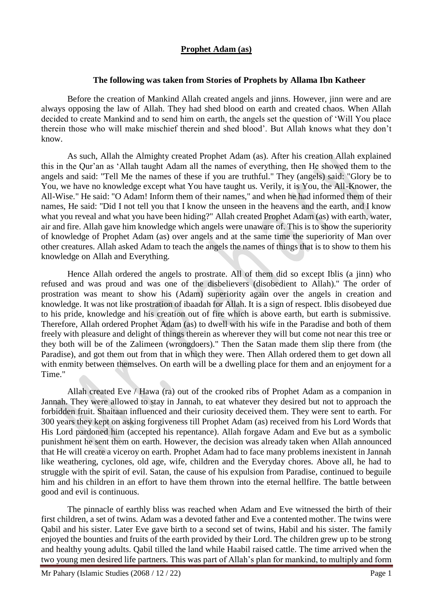## **Prophet Adam (as)**

#### **The following was taken from Stories of Prophets by Allama Ibn Katheer**

Before the creation of Mankind Allah created angels and jinns. However, jinn were and are always opposing the law of Allah. They had shed blood on earth and created chaos. When Allah decided to create Mankind and to send him on earth, the angels set the question of 'Will You place therein those who will make mischief therein and shed blood'. But Allah knows what they don't know.

As such, Allah the Almighty created Prophet Adam (as). After his creation Allah explained this in the Qur'an as 'Allah taught Adam all the names of everything, then He showed them to the angels and said: "Tell Me the names of these if you are truthful." They (angels) said: "Glory be to You, we have no knowledge except what You have taught us. Verily, it is You, the All-Knower, the All-Wise." He said: "O Adam! Inform them of their names," and when he had informed them of their names, He said: "Did I not tell you that I know the unseen in the heavens and the earth, and I know what you reveal and what you have been hiding?" Allah created Prophet Adam (as) with earth, water, air and fire. Allah gave him knowledge which angels were unaware of. This is to show the superiority of knowledge of Prophet Adam (as) over angels and at the same time the superiority of Man over other creatures. Allah asked Adam to teach the angels the names of things that is to show to them his knowledge on Allah and Everything.

Hence Allah ordered the angels to prostrate. All of them did so except Iblis (a jinn) who refused and was proud and was one of the disbelievers (disobedient to Allah)." The order of prostration was meant to show his (Adam) superiority again over the angels in creation and knowledge. It was not like prostration of ibaadah for Allah. It is a sign of respect. Iblis disobeyed due to his pride, knowledge and his creation out of fire which is above earth, but earth is submissive. Therefore, Allah ordered Prophet Adam (as) to dwell with his wife in the Paradise and both of them freely with pleasure and delight of things therein as wherever they will but come not near this tree or they both will be of the Zalimeen (wrongdoers)." Then the Satan made them slip there from (the Paradise), and got them out from that in which they were. Then Allah ordered them to get down all with enmity between themselves. On earth will be a dwelling place for them and an enjoyment for a Time."

Allah created Eve / Hawa (ra) out of the crooked ribs of Prophet Adam as a companion in Jannah. They were allowed to stay in Jannah, to eat whatever they desired but not to approach the forbidden fruit. Shaitaan influenced and their curiosity deceived them. They were sent to earth. For 300 years they kept on asking forgiveness till Prophet Adam (as) received from his Lord Words that His Lord pardoned him (accepted his repentance). Allah forgave Adam and Eve but as a symbolic punishment he sent them on earth. However, the decision was already taken when Allah announced that He will create a viceroy on earth. Prophet Adam had to face many problems inexistent in Jannah like weathering, cyclones, old age, wife, children and the Everyday chores. Above all, he had to struggle with the spirit of evil. Satan, the cause of his expulsion from Paradise, continued to beguile him and his children in an effort to have them thrown into the eternal hellfire. The battle between good and evil is continuous.

The pinnacle of earthly bliss was reached when Adam and Eve witnessed the birth of their first children, a set of twins. Adam was a devoted father and Eve a contented mother. The twins were Qabil and his sister. Later Eve gave birth to a second set of twins, Habil and his sister. The family enjoyed the bounties and fruits of the earth provided by their Lord. The children grew up to be strong and healthy young adults. Qabil tilled the land while Haabil raised cattle. The time arrived when the two young men desired life partners. This was part of Allah's plan for mankind, to multiply and form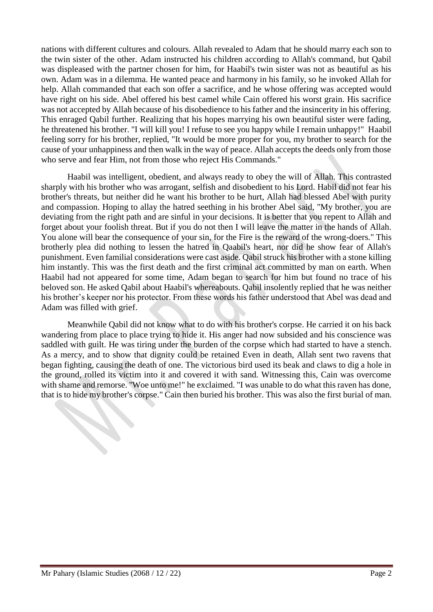nations with different cultures and colours. Allah revealed to Adam that he should marry each son to the twin sister of the other. Adam instructed his children according to Allah's command, but Qabil was displeased with the partner chosen for him, for Haabil's twin sister was not as beautiful as his own. Adam was in a dilemma. He wanted peace and harmony in his family, so he invoked Allah for help. Allah commanded that each son offer a sacrifice, and he whose offering was accepted would have right on his side. Abel offered his best camel while Cain offered his worst grain. His sacrifice was not accepted by Allah because of his disobedience to his father and the insincerity in his offering. This enraged Qabil further. Realizing that his hopes marrying his own beautiful sister were fading, he threatened his brother. "I will kill you! I refuse to see you happy while I remain unhappy!" Haabil feeling sorry for his brother, replied, "It would be more proper for you, my brother to search for the cause of your unhappiness and then walk in the way of peace. Allah accepts the deeds only from those who serve and fear Him, not from those who reject His Commands."

Haabil was intelligent, obedient, and always ready to obey the will of Allah. This contrasted sharply with his brother who was arrogant, selfish and disobedient to his Lord. Habil did not fear his brother's threats, but neither did he want his brother to be hurt, Allah had blessed Abel with purity and compassion. Hoping to allay the hatred seething in his brother Abel said, "My brother, you are deviating from the right path and are sinful in your decisions. It is better that you repent to Allah and forget about your foolish threat. But if you do not then I will leave the matter in the hands of Allah. You alone will bear the consequence of your sin, for the Fire is the reward of the wrong-doers." This brotherly plea did nothing to lessen the hatred in Qaabil's heart, nor did he show fear of Allah's punishment. Even familial considerations were cast aside. Qabil struck his brother with a stone killing him instantly. This was the first death and the first criminal act committed by man on earth. When Haabil had not appeared for some time, Adam began to search for him but found no trace of his beloved son. He asked Qabil about Haabil's whereabouts. Qabil insolently replied that he was neither his brother's keeper nor his protector. From these words his father understood that Abel was dead and Adam was filled with grief.

Meanwhile Qabil did not know what to do with his brother's corpse. He carried it on his back wandering from place to place trying to hide it. His anger had now subsided and his conscience was saddled with guilt. He was tiring under the burden of the corpse which had started to have a stench. As a mercy, and to show that dignity could be retained Even in death, Allah sent two ravens that began fighting, causing the death of one. The victorious bird used its beak and claws to dig a hole in the ground, rolled its victim into it and covered it with sand. Witnessing this, Cain was overcome with shame and remorse. "Woe unto me!" he exclaimed. "I was unable to do what this raven has done, that is to hide my brother's corpse." Cain then buried his brother. This was also the first burial of man.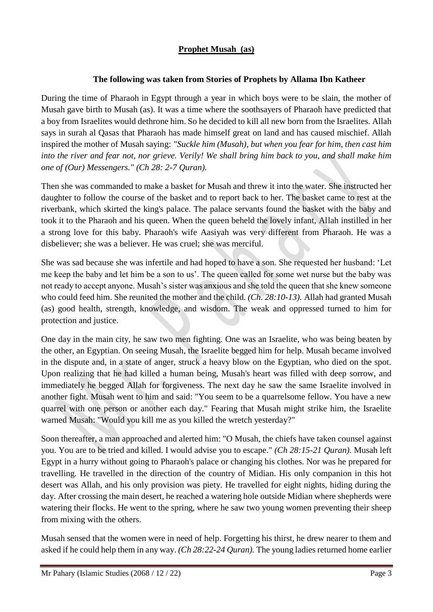# **Prophet Musah (as)**

### **The following was taken from Stories of Prophets by Allama Ibn Katheer**

During the time of Pharaoh in Egypt through a year in which boys were to be slain, the mother of Musah gave birth to Musah (as). It was a time where the soothsayers of Pharaoh have predicted that a boy from Israelites would dethrone him. So he decided to kill all new born from the Israelites. Allah says in surah al Qasas that Pharaoh has made himself great on land and has caused mischief. Allah inspired the mother of Musah saying: *"Suckle him (Musah), but when you fear for him, then cast him into the river and fear not, nor grieve. Verily! We shall bring him back to you, and shall make him one of (Our) Messengers." (Ch 28: 2-7 Quran).*

Then she was commanded to make a basket for Musah and threw it into the water. She instructed her daughter to follow the course of the basket and to report back to her. The basket came to rest at the riverbank, which skirted the king's palace. The palace servants found the basket with the baby and took it to the Pharaoh and his queen. When the queen beheld the lovely infant, Allah instilled in her a strong love for this baby. Pharaoh's wife Aasiyah was very different from Pharaoh. He was a disbeliever; she was a believer. He was cruel; she was merciful.

She was sad because she was infertile and had hoped to have a son. She requested her husband: 'Let me keep the baby and let him be a son to us'. The queen called for some wet nurse but the baby was not ready to accept anyone. Musah's sister was anxious and she told the queen that she knew someone who could feed him. She reunited the mother and the child. *(Ch. 28:10-13).* Allah had granted Musah (as) good health, strength, knowledge, and wisdom. The weak and oppressed turned to him for protection and justice.

One day in the main city, he saw two men fighting. One was an Israelite, who was being beaten by the other, an Egyptian. On seeing Musah, the Israelite begged him for help. Musah became involved in the dispute and, in a state of anger, struck a heavy blow on the Egyptian, who died on the spot. Upon realizing that he had killed a human being, Musah's heart was filled with deep sorrow, and immediately he begged Allah for forgiveness. The next day he saw the same Israelite involved in another fight. Musah went to him and said: "You seem to be a quarrelsome fellow. You have a new quarrel with one person or another each day." Fearing that Musah might strike him, the Israelite warned Musah: "Would you kill me as you killed the wretch yesterday?"

Soon thereafter, a man approached and alerted him: "O Musah, the chiefs have taken counsel against you. You are to be tried and killed. I would advise you to escape." *(Ch 28:15-21 Quran).* Musah left Egypt in a hurry without going to Pharaoh's palace or changing his clothes. Nor was he prepared for travelling. He travelled in the direction of the country of Midian. His only companion in this hot desert was Allah, and his only provision was piety. He travelled for eight nights, hiding during the day. After crossing the main desert, he reached a watering hole outside Midian where shepherds were watering their flocks. He went to the spring, where he saw two young women preventing their sheep from mixing with the others.

Musah sensed that the women were in need of help. Forgetting his thirst, he drew nearer to them and asked if he could help them in any way. *(Ch 28:22-24 Quran).* The young ladies returned home earlier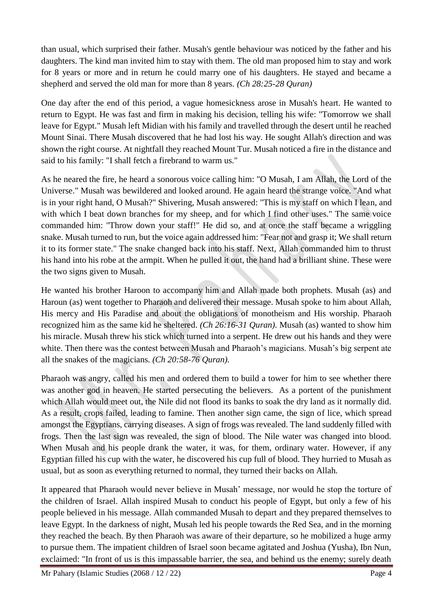than usual, which surprised their father. Musah's gentle behaviour was noticed by the father and his daughters. The kind man invited him to stay with them. The old man proposed him to stay and work for 8 years or more and in return he could marry one of his daughters. He stayed and became a shepherd and served the old man for more than 8 years. *(Ch 28:25-28 Quran)*

One day after the end of this period, a vague homesickness arose in Musah's heart. He wanted to return to Egypt. He was fast and firm in making his decision, telling his wife: "Tomorrow we shall leave for Egypt." Musah left Midian with his family and travelled through the desert until he reached Mount Sinai. There Musah discovered that he had lost his way. He sought Allah's direction and was shown the right course. At nightfall they reached Mount Tur. Musah noticed a fire in the distance and said to his family: "I shall fetch a firebrand to warm us."

As he neared the fire, he heard a sonorous voice calling him: "O Musah, I am Allah, the Lord of the Universe." Musah was bewildered and looked around. He again heard the strange voice. "And what is in your right hand, O Musah?" Shivering, Musah answered: "This is my staff on which I lean, and with which I beat down branches for my sheep, and for which I find other uses." The same voice commanded him: "Throw down your staff!" He did so, and at once the staff became a wriggling snake. Musah turned to run, but the voice again addressed him: "Fear not and grasp it; We shall return it to its former state." The snake changed back into his staff. Next, Allah commanded him to thrust his hand into his robe at the armpit. When he pulled it out, the hand had a brilliant shine. These were the two signs given to Musah.

He wanted his brother Haroon to accompany him and Allah made both prophets. Musah (as) and Haroun (as) went together to Pharaoh and delivered their message. Musah spoke to him about Allah, His mercy and His Paradise and about the obligations of monotheism and His worship. Pharaoh recognized him as the same kid he sheltered. *(Ch 26:16-31 Quran).* Musah (as) wanted to show him his miracle. Musah threw his stick which turned into a serpent. He drew out his hands and they were white. Then there was the contest between Musah and Pharaoh's magicians. Musah's big serpent ate all the snakes of the magicians. *(Ch 20:58-76 Quran).* 

Pharaoh was angry, called his men and ordered them to build a tower for him to see whether there was another god in heaven. He started persecuting the believers. As a portent of the punishment which Allah would meet out, the Nile did not flood its banks to soak the dry land as it normally did. As a result, crops failed, leading to famine. Then another sign came, the sign of lice, which spread amongst the Egyptians, carrying diseases. A sign of frogs was revealed. The land suddenly filled with frogs. Then the last sign was revealed, the sign of blood. The Nile water was changed into blood. When Musah and his people drank the water, it was, for them, ordinary water. However, if any Egyptian filled his cup with the water, he discovered his cup full of blood. They hurried to Musah as usual, but as soon as everything returned to normal, they turned their backs on Allah.

It appeared that Pharaoh would never believe in Musah' message, nor would he stop the torture of the children of Israel. Allah inspired Musah to conduct his people of Egypt, but only a few of his people believed in his message. Allah commanded Musah to depart and they prepared themselves to leave Egypt. In the darkness of night, Musah led his people towards the Red Sea, and in the morning they reached the beach. By then Pharaoh was aware of their departure, so he mobilized a huge army to pursue them. The impatient children of Israel soon became agitated and Joshua (Yusha), Ibn Nun, exclaimed: "In front of us is this impassable barrier, the sea, and behind us the enemy; surely death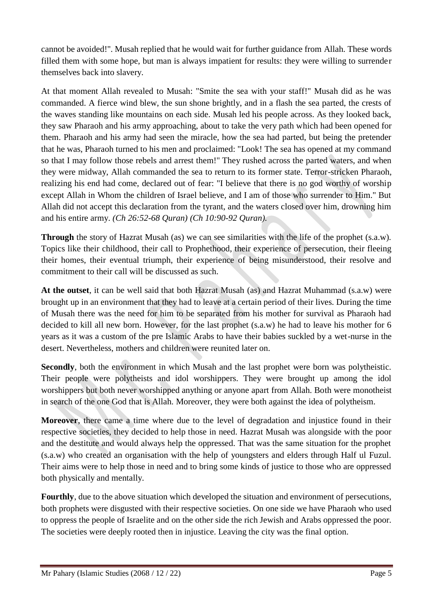cannot be avoided!". Musah replied that he would wait for further guidance from Allah. These words filled them with some hope, but man is always impatient for results: they were willing to surrender themselves back into slavery.

At that moment Allah revealed to Musah: "Smite the sea with your staff!" Musah did as he was commanded. A fierce wind blew, the sun shone brightly, and in a flash the sea parted, the crests of the waves standing like mountains on each side. Musah led his people across. As they looked back, they saw Pharaoh and his army approaching, about to take the very path which had been opened for them. Pharaoh and his army had seen the miracle, how the sea had parted, but being the pretender that he was, Pharaoh turned to his men and proclaimed: "Look! The sea has opened at my command so that I may follow those rebels and arrest them!" They rushed across the parted waters, and when they were midway, Allah commanded the sea to return to its former state. Terror-stricken Pharaoh, realizing his end had come, declared out of fear: "I believe that there is no god worthy of worship except Allah in Whom the children of Israel believe, and I am of those who surrender to Him." But Allah did not accept this declaration from the tyrant, and the waters closed over him, drowning him and his entire army. *(Ch 26:52-68 Quran) (Ch 10:90-92 Quran).*

**Through** the story of Hazrat Musah (as) we can see similarities with the life of the prophet (s.a.w). Topics like their childhood, their call to Prophethood, their experience of persecution, their fleeing their homes, their eventual triumph, their experience of being misunderstood, their resolve and commitment to their call will be discussed as such.

**At the outset**, it can be well said that both Hazrat Musah (as) and Hazrat Muhammad (s.a.w) were brought up in an environment that they had to leave at a certain period of their lives. During the time of Musah there was the need for him to be separated from his mother for survival as Pharaoh had decided to kill all new born. However, for the last prophet (s.a.w) he had to leave his mother for 6 years as it was a custom of the pre Islamic Arabs to have their babies suckled by a wet-nurse in the desert. Nevertheless, mothers and children were reunited later on.

**Secondly**, both the environment in which Musah and the last prophet were born was polytheistic. Their people were polytheists and idol worshippers. They were brought up among the idol worshippers but both never worshipped anything or anyone apart from Allah. Both were monotheist in search of the one God that is Allah. Moreover, they were both against the idea of polytheism.

**Moreover**, there came a time where due to the level of degradation and injustice found in their respective societies, they decided to help those in need. Hazrat Musah was alongside with the poor and the destitute and would always help the oppressed. That was the same situation for the prophet (s.a.w) who created an organisation with the help of youngsters and elders through Half ul Fuzul. Their aims were to help those in need and to bring some kinds of justice to those who are oppressed both physically and mentally.

**Fourthly**, due to the above situation which developed the situation and environment of persecutions, both prophets were disgusted with their respective societies. On one side we have Pharaoh who used to oppress the people of Israelite and on the other side the rich Jewish and Arabs oppressed the poor. The societies were deeply rooted then in injustice. Leaving the city was the final option.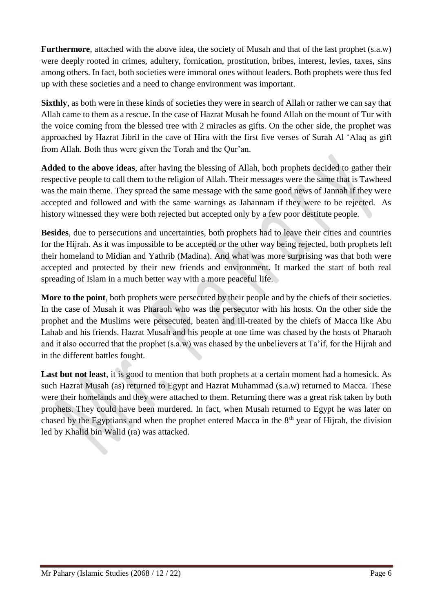**Furthermore**, attached with the above idea, the society of Musah and that of the last prophet (s.a.w) were deeply rooted in crimes, adultery, fornication, prostitution, bribes, interest, levies, taxes, sins among others. In fact, both societies were immoral ones without leaders. Both prophets were thus fed up with these societies and a need to change environment was important.

**Sixthly**, as both were in these kinds of societies they were in search of Allah or rather we can say that Allah came to them as a rescue. In the case of Hazrat Musah he found Allah on the mount of Tur with the voice coming from the blessed tree with 2 miracles as gifts. On the other side, the prophet was approached by Hazrat Jibril in the cave of Hira with the first five verses of Surah Al 'Alaq as gift from Allah. Both thus were given the Torah and the Qur'an.

**Added to the above ideas**, after having the blessing of Allah, both prophets decided to gather their respective people to call them to the religion of Allah. Their messages were the same that is Tawheed was the main theme. They spread the same message with the same good news of Jannah if they were accepted and followed and with the same warnings as Jahannam if they were to be rejected. As history witnessed they were both rejected but accepted only by a few poor destitute people.

**Besides**, due to persecutions and uncertainties, both prophets had to leave their cities and countries for the Hijrah. As it was impossible to be accepted or the other way being rejected, both prophets left their homeland to Midian and Yathrib (Madina). And what was more surprising was that both were accepted and protected by their new friends and environment. It marked the start of both real spreading of Islam in a much better way with a more peaceful life.

**More to the point**, both prophets were persecuted by their people and by the chiefs of their societies. In the case of Musah it was Pharaoh who was the persecutor with his hosts. On the other side the prophet and the Muslims were persecuted, beaten and ill-treated by the chiefs of Macca like Abu Lahab and his friends. Hazrat Musah and his people at one time was chased by the hosts of Pharaoh and it also occurred that the prophet (s.a.w) was chased by the unbelievers at Ta'if, for the Hijrah and in the different battles fought.

**Last but not least**, it is good to mention that both prophets at a certain moment had a homesick. As such Hazrat Musah (as) returned to Egypt and Hazrat Muhammad (s.a.w) returned to Macca. These were their homelands and they were attached to them. Returning there was a great risk taken by both prophets. They could have been murdered. In fact, when Musah returned to Egypt he was later on chased by the Egyptians and when the prophet entered Macca in the 8<sup>th</sup> year of Hijrah, the division led by Khalid bin Walid (ra) was attacked.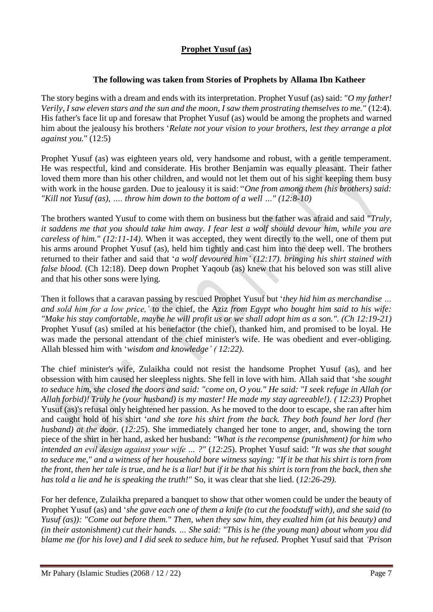# **Prophet Yusuf (as)**

### **The following was taken from Stories of Prophets by Allama Ibn Katheer**

The story begins with a dream and ends with its interpretation. Prophet Yusuf (as) said: *"O my father! Verily, I saw eleven stars and the sun and the moon, I saw them prostrating themselves to me."* (12:4). His father's face lit up and foresaw that Prophet Yusuf (as) would be among the prophets and warned him about the jealousy his brothers '*Relate not your vision to your brothers, lest they arrange a plot against you.*" (12:5)

Prophet Yusuf (as) was eighteen years old, very handsome and robust, with a gentle temperament. He was respectful, kind and considerate. His brother Benjamin was equally pleasant. Their father loved them more than his other children, and would not let them out of his sight keeping them busy with work in the house garden. Due to jealousy it is said: "*One from among them (his brothers) said: "Kill not Yusuf (as), …. throw him down to the bottom of a well …" (12:8-10)*

The brothers wanted Yusuf to come with them on business but the father was afraid and said *"Truly, it saddens me that you should take him away. I fear lest a wolf should devour him, while you are careless of him." (12:11-14).* When it was accepted, they went directly to the well, one of them put his arms around Prophet Yusuf (as), held him tightly and cast him into the deep well. The brothers returned to their father and said that '*a wolf devoured him' (12:17). bringing his shirt stained with false blood.* (Ch 12:18). Deep down Prophet Yaqoub (as) knew that his beloved son was still alive and that his other sons were lying.

Then it follows that a caravan passing by rescued Prophet Yusuf but '*they hid him as merchandise … and sold him for a low price,'* to the chief, the Aziz *from Egypt who bought him said to his wife: "Make his stay comfortable, maybe he will profit us or we shall adopt him as a son.". (Ch 12:19-21)* Prophet Yusuf (as) smiled at his benefactor (the chief), thanked him, and promised to be loyal. He was made the personal attendant of the chief minister's wife. He was obedient and ever-obliging. Allah blessed him with '*wisdom and knowledge' ( 12:22).* 

The chief minister's wife, Zulaikha could not resist the handsome Prophet Yusuf (as), and her obsession with him caused her sleepless nights. She fell in love with him. Allah said that 'she *sought to seduce him, she closed the doors and said: "come on, O you." He said: "I seek refuge in Allah (or Allah forbid)! Truly he (your husband) is my master! He made my stay agreeable!). ( 12:23)* Prophet Yusuf (as)'s refusal only heightened her passion. As he moved to the door to escape, she ran after him and caught hold of his shirt '*and she tore his shirt from the back. They both found her lord (her husband) at the door*. (*12:25*). She immediately changed her tone to anger, and, showing the torn piece of the shirt in her hand, asked her husband: *"What is the recompense (punishment) for him who intended an evil design against your wife … ?"* (*12:25*). Prophet Yusuf said: *"It was she that sought to seduce me," and a witness of her household bore witness saying: "If it be that his shirt is torn from the front, then her tale is true, and he is a liar! but if it be that his shirt is torn from the back, then she has told a lie and he is speaking the truth!"* So, it was clear that she lied. (*12:26-29).*

For her defence, Zulaikha prepared a banquet to show that other women could be under the beauty of Prophet Yusuf (as) and '*she gave each one of them a knife (to cut the foodstuff with), and she said (to Yusuf (as)): "Come out before them." Then, when they saw him, they exalted him (at his beauty) and (in their astonishment) cut their hands. … She said: "This is he (the young man) about whom you did blame me (for his love) and I did seek to seduce him, but he refused.* Prophet Yusuf said that *'Prison*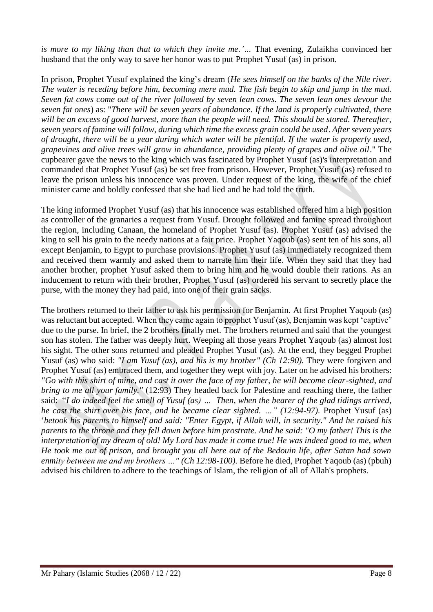*is more to my liking than that to which they invite me.'…* That evening, Zulaikha convinced her husband that the only way to save her honor was to put Prophet Yusuf (as) in prison.

In prison, Prophet Yusuf explained the king's dream (*He sees himself on the banks of the Nile river. The water is receding before him, becoming mere mud. The fish begin to skip and jump in the mud. Seven fat cows come out of the river followed by seven lean cows. The seven lean ones devour the seven fat ones*) as: "*There will be seven years of abundance. If the land is properly cultivated, there*  will be an excess of good harvest, more than the people will need. This should be stored. Thereafter, *seven years of famine will follow, during which time the excess grain could be used*. *After seven years of drought, there will be a year during which water will be plentiful. If the water is properly used, grapevines and olive trees will grow in abundance, providing plenty of grapes and olive oil*." The cupbearer gave the news to the king which was fascinated by Prophet Yusuf (as)'s interpretation and commanded that Prophet Yusuf (as) be set free from prison. However, Prophet Yusuf (as) refused to leave the prison unless his innocence was proven. Under request of the king, the wife of the chief minister came and boldly confessed that she had lied and he had told the truth.

The king informed Prophet Yusuf (as) that his innocence was established offered him a high position as controller of the granaries a request from Yusuf. Drought followed and famine spread throughout the region, including Canaan, the homeland of Prophet Yusuf (as). Prophet Yusuf (as) advised the king to sell his grain to the needy nations at a fair price. Prophet Yaqoub (as) sent ten of his sons, all except Benjamin, to Egypt to purchase provisions. Prophet Yusuf (as) immediately recognized them and received them warmly and asked them to narrate him their life. When they said that they had another brother, prophet Yusuf asked them to bring him and he would double their rations. As an inducement to return with their brother, Prophet Yusuf (as) ordered his servant to secretly place the purse, with the money they had paid, into one of their grain sacks.

The brothers returned to their father to ask his permission for Benjamin. At first Prophet Yaqoub (as) was reluctant but accepted. When they came again to prophet Yusuf (as), Benjamin was kept 'captive' due to the purse. In brief, the 2 brothers finally met. The brothers returned and said that the youngest son has stolen. The father was deeply hurt. Weeping all those years Prophet Yaqoub (as) almost lost his sight. The other sons returned and pleaded Prophet Yusuf (as). At the end, they begged Prophet Yusuf (as) who said: *"I am Yusuf (as), and his is my brother" (Ch 12:90)*. They were forgiven and Prophet Yusuf (as) embraced them, and together they wept with joy. Later on he advised his brothers: *"Go with this shirt of mine, and cast it over the face of my father, he will become clear-sighted, and bring to me all your family."* (12:93) They headed back for Palestine and reaching there, the father said: "*I do indeed feel the smell of Yusuf (as) … Then, when the bearer of the glad tidings arrived, he cast the shirt over his face, and he became clear sighted. …" (12:94-97).* Prophet Yusuf (as) '*betook his parents to himself and said: "Enter Egypt, if Allah will, in security." And he raised his parents to the throne and they fell down before him prostrate. And he said: "O my father! This is the*  interpretation of my dream of old! My Lord has made it come true! He was indeed good to me, when *He took me out of prison, and brought you all here out of the Bedouin life, after Satan had sown enmity between me and my brothers …" (Ch 12:98-100).* Before he died, Prophet Yaqoub (as) (pbuh) advised his children to adhere to the teachings of Islam, the religion of all of Allah's prophets.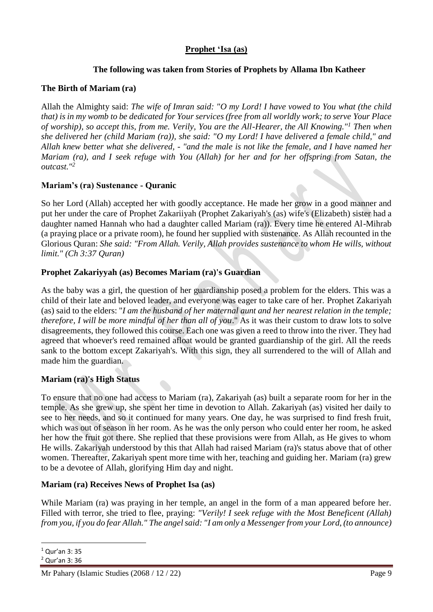## **Prophet 'Isa (as)**

#### **The following was taken from Stories of Prophets by Allama Ibn Katheer**

#### **The Birth of Mariam (ra)**

Allah the Almighty said: *The wife of Imran said: "O my Lord! I have vowed to You what (the child that) is in my womb to be dedicated for Your services (free from all worldly work; to serve Your Place of worship), so accept this, from me. Verily, You are the All-Hearer, the All Knowing."<sup>1</sup> Then when she delivered her (child Mariam (ra)), she said: "O my Lord! I have delivered a female child," and Allah knew better what she delivered, - "and the male is not like the female, and I have named her Mariam (ra), and I seek refuge with You (Allah) for her and for her offspring from Satan, the outcast."<sup>2</sup>*

#### **Mariam's (ra) Sustenance - Quranic**

So her Lord (Allah) accepted her with goodly acceptance. He made her grow in a good manner and put her under the care of Prophet Zakariiyah (Prophet Zakariyah's (as) wife's (Elizabeth) sister had a daughter named Hannah who had a daughter called Mariam (ra)). Every time he entered Al-Mihrab (a praying place or a private room), he found her supplied with sustenance. As Allah recounted in the Glorious Quran: *She said: "From Allah. Verily, Allah provides sustenance to whom He wills, without limit." (Ch 3:37 Quran)*

#### **Prophet Zakariyyah (as) Becomes Mariam (ra)'s Guardian**

As the baby was a girl, the question of her guardianship posed a problem for the elders. This was a child of their late and beloved leader, and everyone was eager to take care of her. Prophet Zakariyah (as) said to the elders: "*I am the husband of her maternal aunt and her nearest relation in the temple; therefore, I will be more mindful of her than all of you*." As it was their custom to draw lots to solve disagreements, they followed this course. Each one was given a reed to throw into the river. They had agreed that whoever's reed remained afloat would be granted guardianship of the girl. All the reeds sank to the bottom except Zakariyah's. With this sign, they all surrendered to the will of Allah and made him the guardian.

#### **Mariam (ra)'s High Status**

To ensure that no one had access to Mariam (ra), Zakariyah (as) built a separate room for her in the temple. As she grew up, she spent her time in devotion to Allah. Zakariyah (as) visited her daily to see to her needs, and so it continued for many years. One day, he was surprised to find fresh fruit, which was out of season in her room. As he was the only person who could enter her room, he asked her how the fruit got there. She replied that these provisions were from Allah, as He gives to whom He wills. Zakariyah understood by this that Allah had raised Mariam (ra)'s status above that of other women. Thereafter, Zakariyah spent more time with her, teaching and guiding her. Mariam (ra) grew to be a devotee of Allah, glorifying Him day and night.

#### **Mariam (ra) Receives News of Prophet Isa (as)**

While Mariam (ra) was praying in her temple, an angel in the form of a man appeared before her. Filled with terror, she tried to flee, praying: *"Verily! I seek refuge with the Most Beneficent (Allah) from you, if you do fear Allah." The angel said: "I am only a Messenger from your Lord, (to announce)* 

<sup>1</sup>  $1$  Our'an 3: 35

<sup>2</sup> Qur'an 3: 36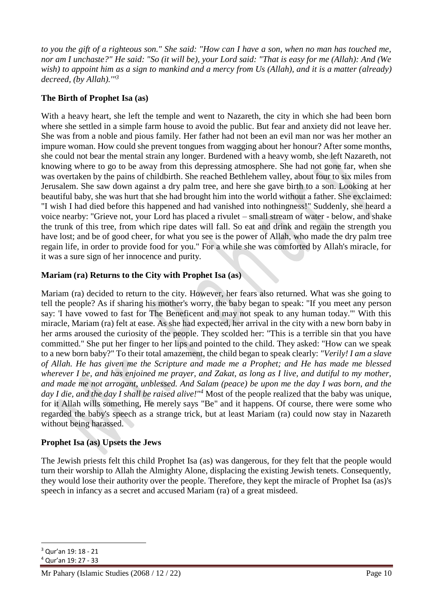*to you the gift of a righteous son." She said: "How can I have a son, when no man has touched me, nor am I unchaste?" He said: "So (it will be), your Lord said: "That is easy for me (Allah): And (We wish) to appoint him as a sign to mankind and a mercy from Us (Allah), and it is a matter (already) decreed, (by Allah).'"<sup>3</sup>*

## **The Birth of Prophet Isa (as)**

With a heavy heart, she left the temple and went to Nazareth, the city in which she had been born where she settled in a simple farm house to avoid the public. But fear and anxiety did not leave her. She was from a noble and pious family. Her father had not been an evil man nor was her mother an impure woman. How could she prevent tongues from wagging about her honour? After some months, she could not bear the mental strain any longer. Burdened with a heavy womb, she left Nazareth, not knowing where to go to be away from this depressing atmosphere. She had not gone far, when she was overtaken by the pains of childbirth. She reached Bethlehem valley, about four to six miles from Jerusalem. She saw down against a dry palm tree, and here she gave birth to a son. Looking at her beautiful baby, she was hurt that she had brought him into the world without a father. She exclaimed: "I wish I had died before this happened and had vanished into nothingness!" Suddenly, she heard a voice nearby: "Grieve not, your Lord has placed a rivulet – small stream of water - below, and shake the trunk of this tree, from which ripe dates will fall. So eat and drink and regain the strength you have lost; and be of good cheer, for what you see is the power of Allah, who made the dry palm tree regain life, in order to provide food for you." For a while she was comforted by Allah's miracle, for it was a sure sign of her innocence and purity.

### **Mariam (ra) Returns to the City with Prophet Isa (as)**

Mariam (ra) decided to return to the city. However, her fears also returned. What was she going to tell the people? As if sharing his mother's worry, the baby began to speak: "If you meet any person say: 'I have vowed to fast for The Beneficent and may not speak to any human today.'" With this miracle, Mariam (ra) felt at ease. As she had expected, her arrival in the city with a new born baby in her arms aroused the curiosity of the people. They scolded her: "This is a terrible sin that you have committed." She put her finger to her lips and pointed to the child. They asked: "How can we speak to a new born baby?" To their total amazement, the child began to speak clearly: *"Verily! I am a slave of Allah. He has given me the Scripture and made me a Prophet; and He has made me blessed wherever I be, and has enjoined me prayer, and Zakat, as long as I live, and dutiful to my mother, and made me not arrogant, unblessed. And Salam (peace) be upon me the day I was born, and the day I die, and the day I shall be raised alive!"<sup>4</sup>* Most of the people realized that the baby was unique, for it Allah wills something, He merely says "Be" and it happens. Of course, there were some who regarded the baby's speech as a strange trick, but at least Mariam (ra) could now stay in Nazareth without being harassed.

#### **Prophet Isa (as) Upsets the Jews**

The Jewish priests felt this child Prophet Isa (as) was dangerous, for they felt that the people would turn their worship to Allah the Almighty Alone, displacing the existing Jewish tenets. Consequently, they would lose their authority over the people. Therefore, they kept the miracle of Prophet Isa (as)'s speech in infancy as a secret and accused Mariam (ra) of a great misdeed.

1

<sup>3</sup> Qur'an 19: 18 - 21

<sup>4</sup> Qur'an 19: 27 - 33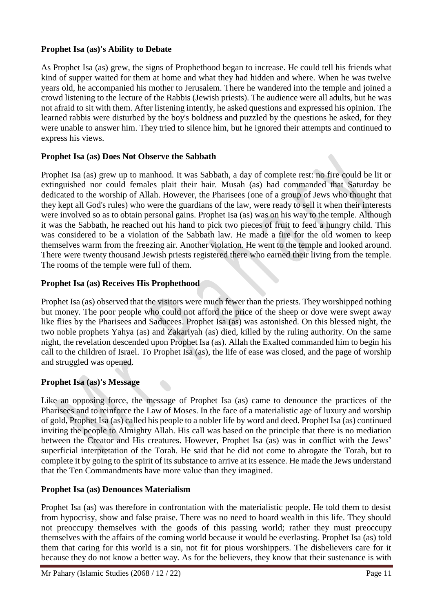## **Prophet Isa (as)'s Ability to Debate**

As Prophet Isa (as) grew, the signs of Prophethood began to increase. He could tell his friends what kind of supper waited for them at home and what they had hidden and where. When he was twelve years old, he accompanied his mother to Jerusalem. There he wandered into the temple and joined a crowd listening to the lecture of the Rabbis (Jewish priests). The audience were all adults, but he was not afraid to sit with them. After listening intently, he asked questions and expressed his opinion. The learned rabbis were disturbed by the boy's boldness and puzzled by the questions he asked, for they were unable to answer him. They tried to silence him, but he ignored their attempts and continued to express his views.

### **Prophet Isa (as) Does Not Observe the Sabbath**

Prophet Isa (as) grew up to manhood. It was Sabbath, a day of complete rest: no fire could be lit or extinguished nor could females plait their hair. Musah (as) had commanded that Saturday be dedicated to the worship of Allah. However, the Pharisees (one of a group of Jews who thought that they kept all God's rules) who were the guardians of the law, were ready to sell it when their interests were involved so as to obtain personal gains. Prophet Isa (as) was on his way to the temple. Although it was the Sabbath, he reached out his hand to pick two pieces of fruit to feed a hungry child. This was considered to be a violation of the Sabbath law. He made a fire for the old women to keep themselves warm from the freezing air. Another violation. He went to the temple and looked around. There were twenty thousand Jewish priests registered there who earned their living from the temple. The rooms of the temple were full of them.

### **Prophet Isa (as) Receives His Prophethood**

Prophet Isa (as) observed that the visitors were much fewer than the priests. They worshipped nothing but money. The poor people who could not afford the price of the sheep or dove were swept away like flies by the Pharisees and Saducees. Prophet Isa (as) was astonished. On this blessed night, the two noble prophets Yahya (as) and Zakariyah (as) died, killed by the ruling authority. On the same night, the revelation descended upon Prophet Isa (as). Allah the Exalted commanded him to begin his call to the children of Israel. To Prophet Isa (as), the life of ease was closed, and the page of worship and struggled was opened.

## **Prophet Isa (as)'s Message**

Like an opposing force, the message of Prophet Isa (as) came to denounce the practices of the Pharisees and to reinforce the Law of Moses. In the face of a materialistic age of luxury and worship of gold, Prophet Isa (as) called his people to a nobler life by word and deed. Prophet Isa (as) continued inviting the people to Almighty Allah. His call was based on the principle that there is no mediation between the Creator and His creatures. However, Prophet Isa (as) was in conflict with the Jews' superficial interpretation of the Torah. He said that he did not come to abrogate the Torah, but to complete it by going to the spirit of its substance to arrive at its essence. He made the Jews understand that the Ten Commandments have more value than they imagined.

#### **Prophet Isa (as) Denounces Materialism**

Prophet Isa (as) was therefore in confrontation with the materialistic people. He told them to desist from hypocrisy, show and false praise. There was no need to hoard wealth in this life. They should not preoccupy themselves with the goods of this passing world; rather they must preoccupy themselves with the affairs of the coming world because it would be everlasting. Prophet Isa (as) told them that caring for this world is a sin, not fit for pious worshippers. The disbelievers care for it because they do not know a better way. As for the believers, they know that their sustenance is with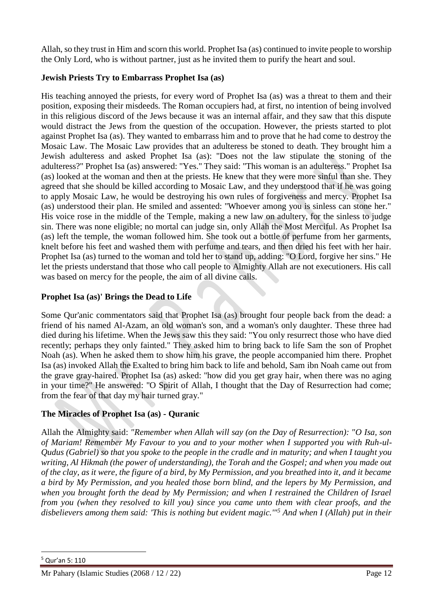Allah, so they trust in Him and scorn this world. Prophet Isa (as) continued to invite people to worship the Only Lord, who is without partner, just as he invited them to purify the heart and soul.

## **Jewish Priests Try to Embarrass Prophet Isa (as)**

His teaching annoyed the priests, for every word of Prophet Isa (as) was a threat to them and their position, exposing their misdeeds. The Roman occupiers had, at first, no intention of being involved in this religious discord of the Jews because it was an internal affair, and they saw that this dispute would distract the Jews from the question of the occupation. However, the priests started to plot against Prophet Isa (as). They wanted to embarrass him and to prove that he had come to destroy the Mosaic Law. The Mosaic Law provides that an adulteress be stoned to death. They brought him a Jewish adulteress and asked Prophet Isa (as): "Does not the law stipulate the stoning of the adulteress?" Prophet Isa (as) answered: "Yes." They said: "This woman is an adulteress." Prophet Isa (as) looked at the woman and then at the priests. He knew that they were more sinful than she. They agreed that she should be killed according to Mosaic Law, and they understood that if he was going to apply Mosaic Law, he would be destroying his own rules of forgiveness and mercy. Prophet Isa (as) understood their plan. He smiled and assented: "Whoever among you is sinless can stone her." His voice rose in the middle of the Temple, making a new law on adultery, for the sinless to judge sin. There was none eligible; no mortal can judge sin, only Allah the Most Merciful. As Prophet Isa (as) left the temple, the woman followed him. She took out a bottle of perfume from her garments, knelt before his feet and washed them with perfume and tears, and then dried his feet with her hair. Prophet Isa (as) turned to the woman and told her to stand up, adding: "O Lord, forgive her sins." He let the priests understand that those who call people to Almighty Allah are not executioners. His call was based on mercy for the people, the aim of all divine calls.

### **Prophet Isa (as)' Brings the Dead to Life**

Some Qur'anic commentators said that Prophet Isa (as) brought four people back from the dead: a friend of his named Al-Azam, an old woman's son, and a woman's only daughter. These three had died during his lifetime. When the Jews saw this they said: "You only resurrect those who have died recently; perhaps they only fainted." They asked him to bring back to life Sam the son of Prophet Noah (as). When he asked them to show him his grave, the people accompanied him there. Prophet Isa (as) invoked Allah the Exalted to bring him back to life and behold, Sam ibn Noah came out from the grave gray-haired. Prophet Isa (as) asked: "how did you get gray hair, when there was no aging in your time?" He answered: "O Spirit of Allah, I thought that the Day of Resurrection had come; from the fear of that day my hair turned gray."

## **The Miracles of Prophet Isa (as) - Quranic**

Allah the Almighty said: *"Remember when Allah will say (on the Day of Resurrection): "O Isa, son of Mariam! Remember My Favour to you and to your mother when I supported you with Ruh-ul-Qudus (Gabriel) so that you spoke to the people in the cradle and in maturity; and when I taught you writing, Al Hikmah (the power of understanding), the Torah and the Gospel; and when you made out of the clay, as it were, the figure of a bird, by My Permission, and you breathed into it, and it became a bird by My Permission, and you healed those born blind, and the lepers by My Permission, and when you brought forth the dead by My Permission; and when I restrained the Children of Israel from you (when they resolved to kill you) since you came unto them with clear proofs, and the disbelievers among them said: 'This is nothing but evident magic.'"<sup>5</sup> And when I (Allah) put in their* 

.

<sup>5</sup> Qur'an 5: 110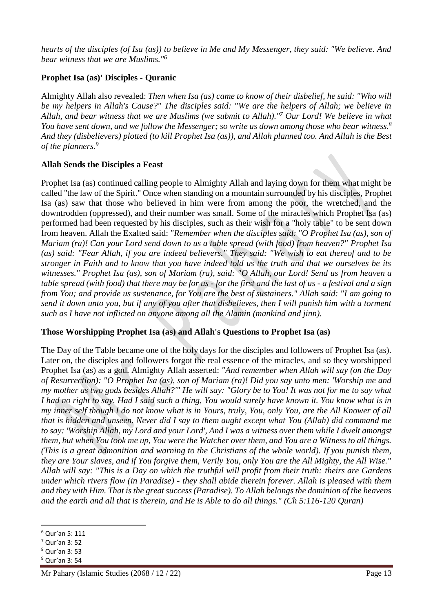*hearts of the disciples (of Isa (as)) to believe in Me and My Messenger, they said: "We believe. And bear witness that we are Muslims."<sup>6</sup>*

## **Prophet Isa (as)' Disciples - Quranic**

Almighty Allah also revealed: *Then when Isa (as) came to know of their disbelief, he said: "Who will be my helpers in Allah's Cause?" The disciples said: "We are the helpers of Allah; we believe in Allah, and bear witness that we are Muslims (we submit to Allah)."<sup>7</sup> Our Lord! We believe in what*  You have sent down, and we follow the Messenger; so write us down among those who bear witness.<sup>8</sup> *And they (disbelievers) plotted (to kill Prophet Isa (as)), and Allah planned too. And Allah is the Best of the planners.<sup>9</sup>*

## **Allah Sends the Disciples a Feast**

Prophet Isa (as) continued calling people to Almighty Allah and laying down for them what might be called "the law of the Spirit." Once when standing on a mountain surrounded by his disciples, Prophet Isa (as) saw that those who believed in him were from among the poor, the wretched, and the downtrodden (oppressed), and their number was small. Some of the miracles which Prophet Isa (as) performed had been requested by his disciples, such as their wish for a "holy table" to be sent down from heaven. Allah the Exalted said: *"Remember when the disciples said: "O Prophet Isa (as), son of Mariam (ra)! Can your Lord send down to us a table spread (with food) from heaven?" Prophet Isa (as) said: "Fear Allah, if you are indeed believers." They said: "We wish to eat thereof and to be stronger in Faith and to know that you have indeed told us the truth and that we ourselves be its witnesses." Prophet Isa (as), son of Mariam (ra), said: "O Allah, our Lord! Send us from heaven a table spread (with food) that there may be for us - for the first and the last of us - a festival and a sign from You; and provide us sustenance, for You are the best of sustainers." Allah said: "I am going to send it down unto you, but if any of you after that disbelieves, then I will punish him with a torment such as I have not inflicted on anyone among all the Alamin (mankind and jinn).*

## **Those Worshipping Prophet Isa (as) and Allah's Questions to Prophet Isa (as)**

The Day of the Table became one of the holy days for the disciples and followers of Prophet Isa (as). Later on, the disciples and followers forgot the real essence of the miracles, and so they worshipped Prophet Isa (as) as a god. Almighty Allah asserted: *"And remember when Allah will say (on the Day of Resurrection): "O Prophet Isa (as), son of Mariam (ra)! Did you say unto men: 'Worship me and my mother as two gods besides Allah?'" He will say: "Glory be to You! It was not for me to say what I had no right to say. Had I said such a thing, You would surely have known it. You know what is in my inner self though I do not know what is in Yours, truly, You, only You, are the All Knower of all that is hidden and unseen. Never did I say to them aught except what You (Allah) did command me to say: 'Worship Allah, my Lord and your Lord', And I was a witness over them while I dwelt amongst them, but when You took me up, You were the Watcher over them, and You are a Witness to all things. (This is a great admonition and warning to the Christians of the whole world). If you punish them, they are Your slaves, and if You forgive them, Verily You, only You are the All Mighty, the All Wise." Allah will say: "This is a Day on which the truthful will profit from their truth: theirs are Gardens under which rivers flow (in Paradise) - they shall abide therein forever. Allah is pleased with them and they with Him. That is the great success (Paradise). To Allah belongs the dominion of the heavens and the earth and all that is therein, and He is Able to do all things." (Ch 5:116-120 Quran)*

1

<sup>6</sup> Qur'an 5: 111

<sup>7</sup> Qur'an 3: 52

<sup>8</sup> Qur'an 3: 53

<sup>9</sup> Qur'an 3: 54